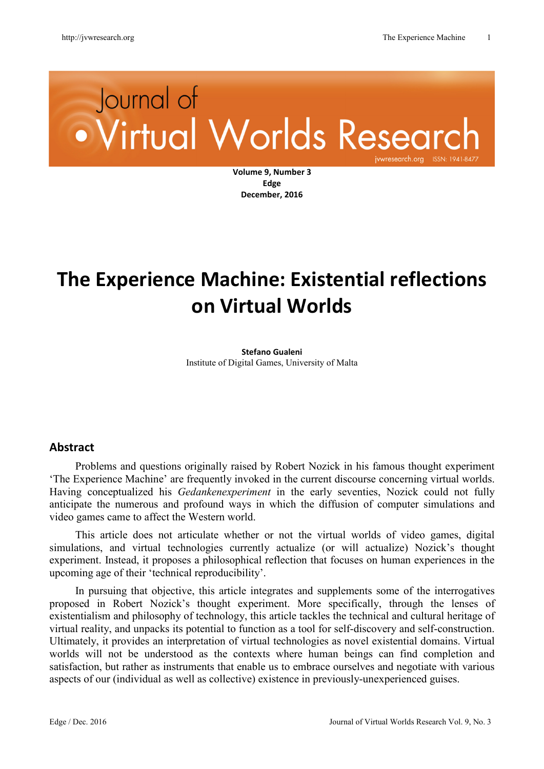# Journal of · Virtual Worlds Researd jvwresearch.org ISSN: 1941-8477

**Volume 9, Number 3 Edge December, 2016** 

## **The Experience Machine: Existential reflections on Virtual Worlds**

**Stefano Gualeni**  Institute of Digital Games, University of Malta

### **Abstract**

Problems and questions originally raised by Robert Nozick in his famous thought experiment 'The Experience Machine' are frequently invoked in the current discourse concerning virtual worlds. Having conceptualized his *Gedankenexperiment* in the early seventies, Nozick could not fully anticipate the numerous and profound ways in which the diffusion of computer simulations and video games came to affect the Western world.

This article does not articulate whether or not the virtual worlds of video games, digital simulations, and virtual technologies currently actualize (or will actualize) Nozick's thought experiment. Instead, it proposes a philosophical reflection that focuses on human experiences in the upcoming age of their 'technical reproducibility'.

In pursuing that objective, this article integrates and supplements some of the interrogatives proposed in Robert Nozick's thought experiment. More specifically, through the lenses of existentialism and philosophy of technology, this article tackles the technical and cultural heritage of virtual reality, and unpacks its potential to function as a tool for self-discovery and self-construction. Ultimately, it provides an interpretation of virtual technologies as novel existential domains. Virtual worlds will not be understood as the contexts where human beings can find completion and satisfaction, but rather as instruments that enable us to embrace ourselves and negotiate with various aspects of our (individual as well as collective) existence in previously-unexperienced guises.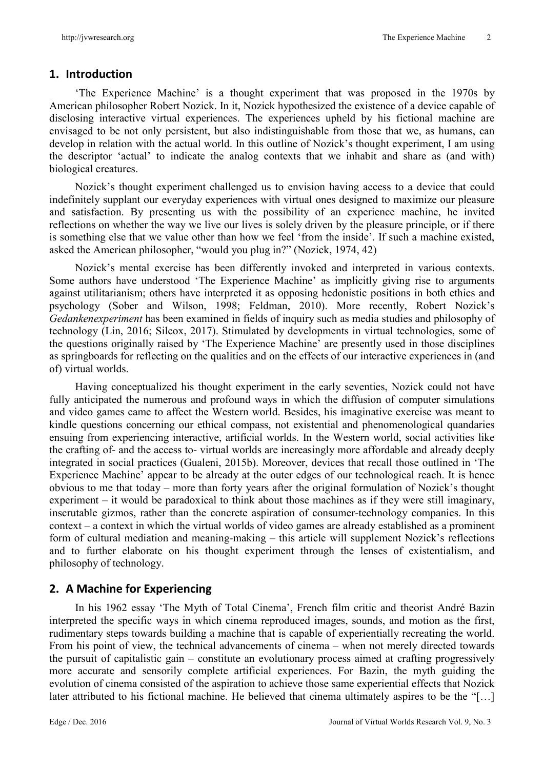### **1. Introduction**

'The Experience Machine' is a thought experiment that was proposed in the 1970s by American philosopher Robert Nozick. In it, Nozick hypothesized the existence of a device capable of disclosing interactive virtual experiences. The experiences upheld by his fictional machine are envisaged to be not only persistent, but also indistinguishable from those that we, as humans, can develop in relation with the actual world. In this outline of Nozick's thought experiment, I am using the descriptor 'actual' to indicate the analog contexts that we inhabit and share as (and with) biological creatures.

Nozick's thought experiment challenged us to envision having access to a device that could indefinitely supplant our everyday experiences with virtual ones designed to maximize our pleasure and satisfaction. By presenting us with the possibility of an experience machine, he invited reflections on whether the way we live our lives is solely driven by the pleasure principle, or if there is something else that we value other than how we feel 'from the inside'. If such a machine existed, asked the American philosopher, "would you plug in?" (Nozick, 1974, 42)

Nozick's mental exercise has been differently invoked and interpreted in various contexts. Some authors have understood 'The Experience Machine' as implicitly giving rise to arguments against utilitarianism; others have interpreted it as opposing hedonistic positions in both ethics and psychology (Sober and Wilson, 1998; Feldman, 2010). More recently, Robert Nozick's *Gedankenexperiment* has been examined in fields of inquiry such as media studies and philosophy of technology (Lin, 2016; Silcox, 2017). Stimulated by developments in virtual technologies, some of the questions originally raised by 'The Experience Machine' are presently used in those disciplines as springboards for reflecting on the qualities and on the effects of our interactive experiences in (and of) virtual worlds.

Having conceptualized his thought experiment in the early seventies, Nozick could not have fully anticipated the numerous and profound ways in which the diffusion of computer simulations and video games came to affect the Western world. Besides, his imaginative exercise was meant to kindle questions concerning our ethical compass, not existential and phenomenological quandaries ensuing from experiencing interactive, artificial worlds. In the Western world, social activities like the crafting of- and the access to- virtual worlds are increasingly more affordable and already deeply integrated in social practices (Gualeni, 2015b). Moreover, devices that recall those outlined in 'The Experience Machine' appear to be already at the outer edges of our technological reach. It is hence obvious to me that today – more than forty years after the original formulation of Nozick's thought experiment – it would be paradoxical to think about those machines as if they were still imaginary, inscrutable gizmos, rather than the concrete aspiration of consumer-technology companies. In this context – a context in which the virtual worlds of video games are already established as a prominent form of cultural mediation and meaning-making – this article will supplement Nozick's reflections and to further elaborate on his thought experiment through the lenses of existentialism, and philosophy of technology.

### **2. A Machine for Experiencing**

In his 1962 essay 'The Myth of Total Cinema', French film critic and theorist André Bazin interpreted the specific ways in which cinema reproduced images, sounds, and motion as the first, rudimentary steps towards building a machine that is capable of experientially recreating the world. From his point of view, the technical advancements of cinema – when not merely directed towards the pursuit of capitalistic gain – constitute an evolutionary process aimed at crafting progressively more accurate and sensorily complete artificial experiences. For Bazin, the myth guiding the evolution of cinema consisted of the aspiration to achieve those same experiential effects that Nozick later attributed to his fictional machine. He believed that cinema ultimately aspires to be the "[…]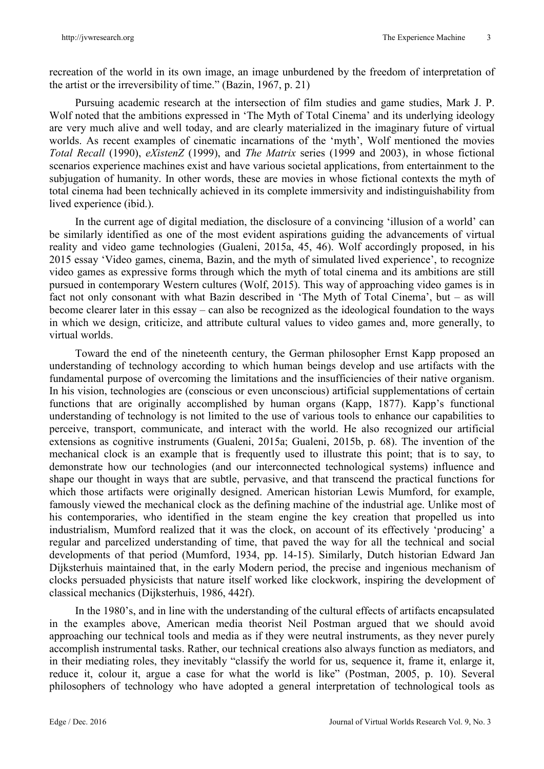recreation of the world in its own image, an image unburdened by the freedom of interpretation of the artist or the irreversibility of time." (Bazin, 1967, p. 21)

Pursuing academic research at the intersection of film studies and game studies, Mark J. P. Wolf noted that the ambitions expressed in 'The Myth of Total Cinema' and its underlying ideology are very much alive and well today, and are clearly materialized in the imaginary future of virtual worlds. As recent examples of cinematic incarnations of the 'myth', Wolf mentioned the movies *Total Recall* (1990), *eXistenZ* (1999), and *The Matrix* series (1999 and 2003), in whose fictional scenarios experience machines exist and have various societal applications, from entertainment to the subjugation of humanity. In other words, these are movies in whose fictional contexts the myth of total cinema had been technically achieved in its complete immersivity and indistinguishability from lived experience (ibid.).

In the current age of digital mediation, the disclosure of a convincing 'illusion of a world' can be similarly identified as one of the most evident aspirations guiding the advancements of virtual reality and video game technologies (Gualeni, 2015a, 45, 46). Wolf accordingly proposed, in his 2015 essay 'Video games, cinema, Bazin, and the myth of simulated lived experience', to recognize video games as expressive forms through which the myth of total cinema and its ambitions are still pursued in contemporary Western cultures (Wolf, 2015). This way of approaching video games is in fact not only consonant with what Bazin described in 'The Myth of Total Cinema', but – as will become clearer later in this essay – can also be recognized as the ideological foundation to the ways in which we design, criticize, and attribute cultural values to video games and, more generally, to virtual worlds.

Toward the end of the nineteenth century, the German philosopher Ernst Kapp proposed an understanding of technology according to which human beings develop and use artifacts with the fundamental purpose of overcoming the limitations and the insufficiencies of their native organism. In his vision, technologies are (conscious or even unconscious) artificial supplementations of certain functions that are originally accomplished by human organs (Kapp, 1877). Kapp's functional understanding of technology is not limited to the use of various tools to enhance our capabilities to perceive, transport, communicate, and interact with the world. He also recognized our artificial extensions as cognitive instruments (Gualeni, 2015a; Gualeni, 2015b, p. 68). The invention of the mechanical clock is an example that is frequently used to illustrate this point; that is to say, to demonstrate how our technologies (and our interconnected technological systems) influence and shape our thought in ways that are subtle, pervasive, and that transcend the practical functions for which those artifacts were originally designed. American historian Lewis Mumford, for example, famously viewed the mechanical clock as the defining machine of the industrial age. Unlike most of his contemporaries, who identified in the steam engine the key creation that propelled us into industrialism, Mumford realized that it was the clock, on account of its effectively 'producing' a regular and parcelized understanding of time, that paved the way for all the technical and social developments of that period (Mumford, 1934, pp. 14-15). Similarly, Dutch historian Edward Jan Dijksterhuis maintained that, in the early Modern period, the precise and ingenious mechanism of clocks persuaded physicists that nature itself worked like clockwork, inspiring the development of classical mechanics (Dijksterhuis, 1986, 442f).

In the 1980's, and in line with the understanding of the cultural effects of artifacts encapsulated in the examples above, American media theorist Neil Postman argued that we should avoid approaching our technical tools and media as if they were neutral instruments, as they never purely accomplish instrumental tasks. Rather, our technical creations also always function as mediators, and in their mediating roles, they inevitably "classify the world for us, sequence it, frame it, enlarge it, reduce it, colour it, argue a case for what the world is like" (Postman, 2005, p. 10). Several philosophers of technology who have adopted a general interpretation of technological tools as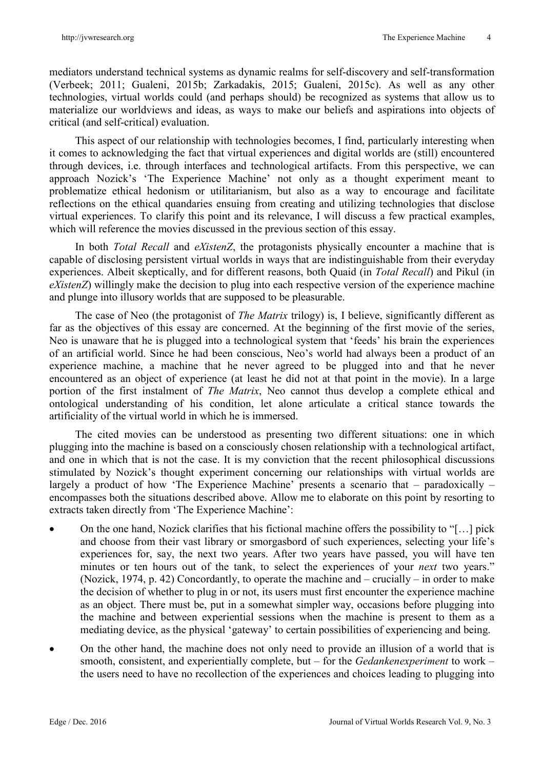mediators understand technical systems as dynamic realms for self-discovery and self-transformation (Verbeek; 2011; Gualeni, 2015b; Zarkadakis, 2015; Gualeni, 2015c). As well as any other technologies, virtual worlds could (and perhaps should) be recognized as systems that allow us to materialize our worldviews and ideas, as ways to make our beliefs and aspirations into objects of critical (and self-critical) evaluation.

This aspect of our relationship with technologies becomes, I find, particularly interesting when it comes to acknowledging the fact that virtual experiences and digital worlds are (still) encountered through devices, i.e. through interfaces and technological artifacts. From this perspective, we can approach Nozick's 'The Experience Machine' not only as a thought experiment meant to problematize ethical hedonism or utilitarianism, but also as a way to encourage and facilitate reflections on the ethical quandaries ensuing from creating and utilizing technologies that disclose virtual experiences. To clarify this point and its relevance, I will discuss a few practical examples, which will reference the movies discussed in the previous section of this essay.

In both *Total Recall* and *eXistenZ*, the protagonists physically encounter a machine that is capable of disclosing persistent virtual worlds in ways that are indistinguishable from their everyday experiences. Albeit skeptically, and for different reasons, both Quaid (in *Total Recall*) and Pikul (in *eXistenZ*) willingly make the decision to plug into each respective version of the experience machine and plunge into illusory worlds that are supposed to be pleasurable.

The case of Neo (the protagonist of *The Matrix* trilogy) is, I believe, significantly different as far as the objectives of this essay are concerned. At the beginning of the first movie of the series, Neo is unaware that he is plugged into a technological system that 'feeds' his brain the experiences of an artificial world. Since he had been conscious, Neo's world had always been a product of an experience machine, a machine that he never agreed to be plugged into and that he never encountered as an object of experience (at least he did not at that point in the movie). In a large portion of the first instalment of *The Matrix*, Neo cannot thus develop a complete ethical and ontological understanding of his condition, let alone articulate a critical stance towards the artificiality of the virtual world in which he is immersed.

The cited movies can be understood as presenting two different situations: one in which plugging into the machine is based on a consciously chosen relationship with a technological artifact, and one in which that is not the case. It is my conviction that the recent philosophical discussions stimulated by Nozick's thought experiment concerning our relationships with virtual worlds are largely a product of how 'The Experience Machine' presents a scenario that – paradoxically – encompasses both the situations described above. Allow me to elaborate on this point by resorting to extracts taken directly from 'The Experience Machine':

- On the one hand, Nozick clarifies that his fictional machine offers the possibility to "[…] pick and choose from their vast library or smorgasbord of such experiences, selecting your life's experiences for, say, the next two years. After two years have passed, you will have ten minutes or ten hours out of the tank, to select the experiences of your *next* two years." (Nozick, 1974, p. 42) Concordantly, to operate the machine and – crucially – in order to make the decision of whether to plug in or not, its users must first encounter the experience machine as an object. There must be, put in a somewhat simpler way, occasions before plugging into the machine and between experiential sessions when the machine is present to them as a mediating device, as the physical 'gateway' to certain possibilities of experiencing and being.
- On the other hand, the machine does not only need to provide an illusion of a world that is smooth, consistent, and experientially complete, but – for the *Gedankenexperiment* to work – the users need to have no recollection of the experiences and choices leading to plugging into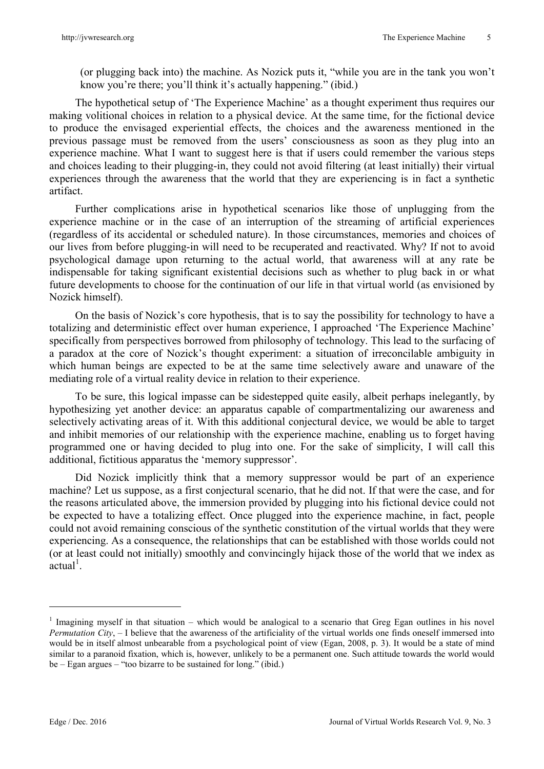(or plugging back into) the machine. As Nozick puts it, "while you are in the tank you won't know you're there; you'll think it's actually happening." (ibid.)

The hypothetical setup of 'The Experience Machine' as a thought experiment thus requires our making volitional choices in relation to a physical device. At the same time, for the fictional device to produce the envisaged experiential effects, the choices and the awareness mentioned in the previous passage must be removed from the users' consciousness as soon as they plug into an experience machine. What I want to suggest here is that if users could remember the various steps and choices leading to their plugging-in, they could not avoid filtering (at least initially) their virtual experiences through the awareness that the world that they are experiencing is in fact a synthetic artifact.

Further complications arise in hypothetical scenarios like those of unplugging from the experience machine or in the case of an interruption of the streaming of artificial experiences (regardless of its accidental or scheduled nature). In those circumstances, memories and choices of our lives from before plugging-in will need to be recuperated and reactivated. Why? If not to avoid psychological damage upon returning to the actual world, that awareness will at any rate be indispensable for taking significant existential decisions such as whether to plug back in or what future developments to choose for the continuation of our life in that virtual world (as envisioned by Nozick himself).

On the basis of Nozick's core hypothesis, that is to say the possibility for technology to have a totalizing and deterministic effect over human experience, I approached 'The Experience Machine' specifically from perspectives borrowed from philosophy of technology. This lead to the surfacing of a paradox at the core of Nozick's thought experiment: a situation of irreconcilable ambiguity in which human beings are expected to be at the same time selectively aware and unaware of the mediating role of a virtual reality device in relation to their experience.

To be sure, this logical impasse can be sidestepped quite easily, albeit perhaps inelegantly, by hypothesizing yet another device: an apparatus capable of compartmentalizing our awareness and selectively activating areas of it. With this additional conjectural device, we would be able to target and inhibit memories of our relationship with the experience machine, enabling us to forget having programmed one or having decided to plug into one. For the sake of simplicity, I will call this additional, fictitious apparatus the 'memory suppressor'.

Did Nozick implicitly think that a memory suppressor would be part of an experience machine? Let us suppose, as a first conjectural scenario, that he did not. If that were the case, and for the reasons articulated above, the immersion provided by plugging into his fictional device could not be expected to have a totalizing effect. Once plugged into the experience machine, in fact, people could not avoid remaining conscious of the synthetic constitution of the virtual worlds that they were experiencing. As a consequence, the relationships that can be established with those worlds could not (or at least could not initially) smoothly and convincingly hijack those of the world that we index as  $actual<sup>1</sup>$ .

<sup>&</sup>lt;sup>1</sup> Imagining myself in that situation – which would be analogical to a scenario that Greg Egan outlines in his novel *Permutation City*, – I believe that the awareness of the artificiality of the virtual worlds one finds oneself immersed into would be in itself almost unbearable from a psychological point of view (Egan, 2008, p. 3). It would be a state of mind similar to a paranoid fixation, which is, however, unlikely to be a permanent one. Such attitude towards the world would be – Egan argues – "too bizarre to be sustained for long." (ibid.)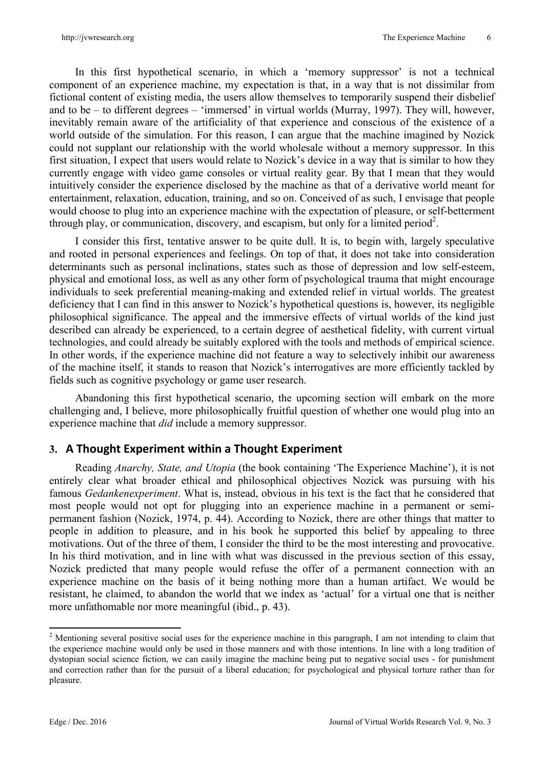In this first hypothetical scenario, in which a 'memory suppressor' is not a technical component of an experience machine, my expectation is that, in a way that is not dissimilar from fictional content of existing media, the users allow themselves to temporarily suspend their disbelief and to be – to different degrees – 'immersed' in virtual worlds (Murray, 1997). They will, however, inevitably remain aware of the artificiality of that experience and conscious of the existence of a world outside of the simulation. For this reason, I can argue that the machine imagined by Nozick could not supplant our relationship with the world wholesale without a memory suppressor. In this first situation, I expect that users would relate to Nozick's device in a way that is similar to how they currently engage with video game consoles or virtual reality gear. By that I mean that they would intuitively consider the experience disclosed by the machine as that of a derivative world meant for entertainment, relaxation, education, training, and so on. Conceived of as such, I envisage that people would choose to plug into an experience machine with the expectation of pleasure, or self-betterment through play, or communication, discovery, and escapism, but only for a limited period<sup>2</sup>.

I consider this first, tentative answer to be quite dull. It is, to begin with, largely speculative and rooted in personal experiences and feelings. On top of that, it does not take into consideration determinants such as personal inclinations, states such as those of depression and low self-esteem, physical and emotional loss, as well as any other form of psychological trauma that might encourage individuals to seek preferential meaning-making and extended relief in virtual worlds. The greatest deficiency that I can find in this answer to Nozick's hypothetical questions is, however, its negligible philosophical significance. The appeal and the immersive effects of virtual worlds of the kind just described can already be experienced, to a certain degree of aesthetical fidelity, with current virtual technologies, and could already be suitably explored with the tools and methods of empirical science. In other words, if the experience machine did not feature a way to selectively inhibit our awareness of the machine itself, it stands to reason that Nozick's interrogatives are more efficiently tackled by fields such as cognitive psychology or game user research.

Abandoning this first hypothetical scenario, the upcoming section will embark on the more challenging and, I believe, more philosophically fruitful question of whether one would plug into an experience machine that *did* include a memory suppressor.

### **3. A Thought Experiment within a Thought Experiment**

Reading *Anarchy, State, and Utopia* (the book containing 'The Experience Machine'), it is not entirely clear what broader ethical and philosophical objectives Nozick was pursuing with his famous *Gedankenexperiment*. What is, instead, obvious in his text is the fact that he considered that most people would not opt for plugging into an experience machine in a permanent or semipermanent fashion (Nozick, 1974, p. 44). According to Nozick, there are other things that matter to people in addition to pleasure, and in his book he supported this belief by appealing to three motivations. Out of the three of them, I consider the third to be the most interesting and provocative. In his third motivation, and in line with what was discussed in the previous section of this essay, Nozick predicted that many people would refuse the offer of a permanent connection with an experience machine on the basis of it being nothing more than a human artifact. We would be resistant, he claimed, to abandon the world that we index as 'actual' for a virtual one that is neither more unfathomable nor more meaningful (ibid., p. 43).

 $2$  Mentioning several positive social uses for the experience machine in this paragraph, I am not intending to claim that the experience machine would only be used in those manners and with those intentions. In line with a long tradition of dystopian social science fiction, we can easily imagine the machine being put to negative social uses - for punishment and correction rather than for the pursuit of a liberal education; for psychological and physical torture rather than for pleasure.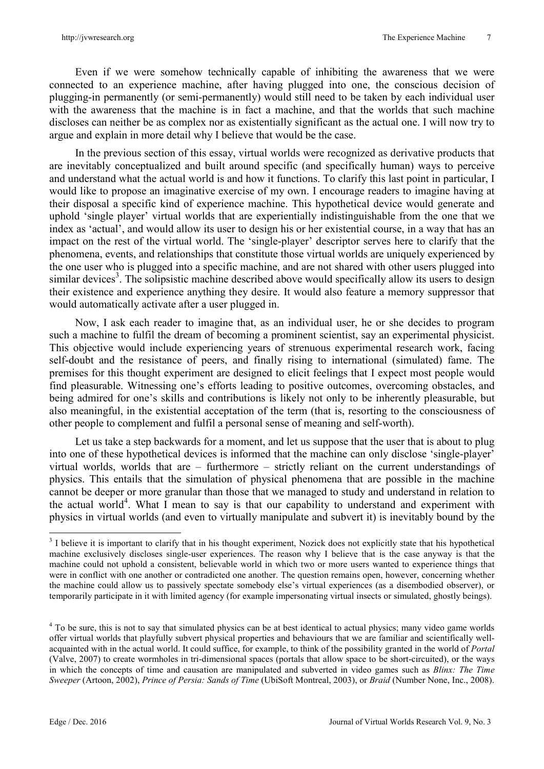Even if we were somehow technically capable of inhibiting the awareness that we were connected to an experience machine, after having plugged into one, the conscious decision of plugging-in permanently (or semi-permanently) would still need to be taken by each individual user with the awareness that the machine is in fact a machine, and that the worlds that such machine discloses can neither be as complex nor as existentially significant as the actual one. I will now try to argue and explain in more detail why I believe that would be the case.

In the previous section of this essay, virtual worlds were recognized as derivative products that are inevitably conceptualized and built around specific (and specifically human) ways to perceive and understand what the actual world is and how it functions. To clarify this last point in particular, I would like to propose an imaginative exercise of my own. I encourage readers to imagine having at their disposal a specific kind of experience machine. This hypothetical device would generate and uphold 'single player' virtual worlds that are experientially indistinguishable from the one that we index as 'actual', and would allow its user to design his or her existential course, in a way that has an impact on the rest of the virtual world. The 'single-player' descriptor serves here to clarify that the phenomena, events, and relationships that constitute those virtual worlds are uniquely experienced by the one user who is plugged into a specific machine, and are not shared with other users plugged into similar devices<sup>3</sup>. The solipsistic machine described above would specifically allow its users to design their existence and experience anything they desire. It would also feature a memory suppressor that would automatically activate after a user plugged in.

Now, I ask each reader to imagine that, as an individual user, he or she decides to program such a machine to fulfil the dream of becoming a prominent scientist, say an experimental physicist. This objective would include experiencing years of strenuous experimental research work, facing self-doubt and the resistance of peers, and finally rising to international (simulated) fame. The premises for this thought experiment are designed to elicit feelings that I expect most people would find pleasurable. Witnessing one's efforts leading to positive outcomes, overcoming obstacles, and being admired for one's skills and contributions is likely not only to be inherently pleasurable, but also meaningful, in the existential acceptation of the term (that is, resorting to the consciousness of other people to complement and fulfil a personal sense of meaning and self-worth).

Let us take a step backwards for a moment, and let us suppose that the user that is about to plug into one of these hypothetical devices is informed that the machine can only disclose 'single-player' virtual worlds, worlds that are – furthermore – strictly reliant on the current understandings of physics. This entails that the simulation of physical phenomena that are possible in the machine cannot be deeper or more granular than those that we managed to study and understand in relation to the actual world<sup>4</sup>. What I mean to say is that our capability to understand and experiment with physics in virtual worlds (and even to virtually manipulate and subvert it) is inevitably bound by the

<sup>&</sup>lt;sup>3</sup> I believe it is important to clarify that in his thought experiment, Nozick does not explicitly state that his hypothetical machine exclusively discloses single-user experiences. The reason why I believe that is the case anyway is that the machine could not uphold a consistent, believable world in which two or more users wanted to experience things that were in conflict with one another or contradicted one another. The question remains open, however, concerning whether the machine could allow us to passively spectate somebody else's virtual experiences (as a disembodied observer), or temporarily participate in it with limited agency (for example impersonating virtual insects or simulated, ghostly beings).

<sup>&</sup>lt;sup>4</sup> To be sure, this is not to say that simulated physics can be at best identical to actual physics; many video game worlds offer virtual worlds that playfully subvert physical properties and behaviours that we are familiar and scientifically wellacquainted with in the actual world. It could suffice, for example, to think of the possibility granted in the world of *Portal*  (Valve, 2007) to create wormholes in tri-dimensional spaces (portals that allow space to be short-circuited), or the ways in which the concepts of time and causation are manipulated and subverted in video games such as *Blinx: The Time Sweeper* (Artoon, 2002), *Prince of Persia: Sands of Time* (UbiSoft Montreal, 2003), or *Braid* (Number None, Inc., 2008).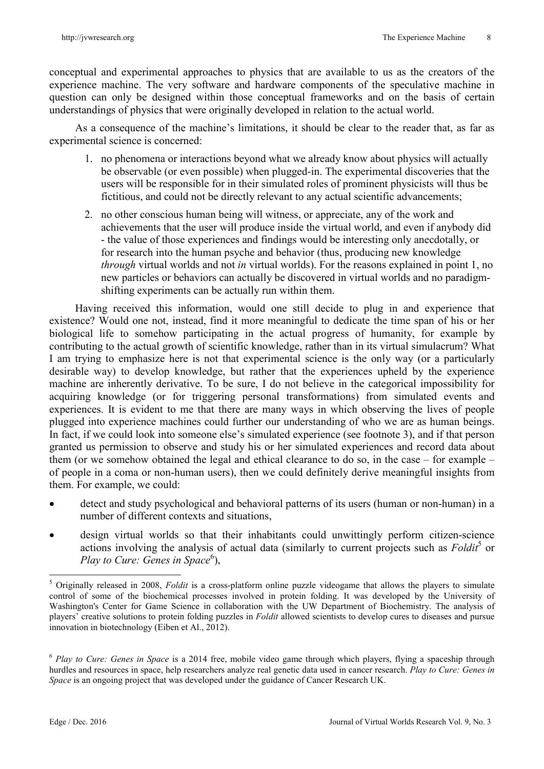conceptual and experimental approaches to physics that are available to us as the creators of the experience machine. The very software and hardware components of the speculative machine in question can only be designed within those conceptual frameworks and on the basis of certain understandings of physics that were originally developed in relation to the actual world.

As a consequence of the machine's limitations, it should be clear to the reader that, as far as experimental science is concerned:

- 1. no phenomena or interactions beyond what we already know about physics will actually be observable (or even possible) when plugged-in. The experimental discoveries that the users will be responsible for in their simulated roles of prominent physicists will thus be fictitious, and could not be directly relevant to any actual scientific advancements;
- 2. no other conscious human being will witness, or appreciate, any of the work and achievements that the user will produce inside the virtual world, and even if anybody did - the value of those experiences and findings would be interesting only anecdotally, or for research into the human psyche and behavior (thus, producing new knowledge *through* virtual worlds and not *in* virtual worlds). For the reasons explained in point 1, no new particles or behaviors can actually be discovered in virtual worlds and no paradigmshifting experiments can be actually run within them.

Having received this information, would one still decide to plug in and experience that existence? Would one not, instead, find it more meaningful to dedicate the time span of his or her biological life to somehow participating in the actual progress of humanity, for example by contributing to the actual growth of scientific knowledge, rather than in its virtual simulacrum? What I am trying to emphasize here is not that experimental science is the only way (or a particularly desirable way) to develop knowledge, but rather that the experiences upheld by the experience machine are inherently derivative. To be sure, I do not believe in the categorical impossibility for acquiring knowledge (or for triggering personal transformations) from simulated events and experiences. It is evident to me that there are many ways in which observing the lives of people plugged into experience machines could further our understanding of who we are as human beings. In fact, if we could look into someone else's simulated experience (see footnote 3), and if that person granted us permission to observe and study his or her simulated experiences and record data about them (or we somehow obtained the legal and ethical clearance to do so, in the case – for example – of people in a coma or non-human users), then we could definitely derive meaningful insights from them. For example, we could:

- detect and study psychological and behavioral patterns of its users (human or non-human) in a number of different contexts and situations,
- design virtual worlds so that their inhabitants could unwittingly perform citizen-science actions involving the analysis of actual data (similarly to current projects such as *Foldit*<sup>5</sup> or Play to Cure: Genes in Space<sup>6</sup>),

<sup>&</sup>lt;sup>5</sup> Originally released in 2008, *Foldit* is a cross-platform online puzzle videogame that allows the players to simulate control of some of the biochemical processes involved in protein folding. It was developed by the University of Washington's Center for Game Science in collaboration with the UW Department of Biochemistry. The analysis of players' creative solutions to protein folding puzzles in *Foldit* allowed scientists to develop cures to diseases and pursue innovation in biotechnology (Eiben et Al., 2012).

<sup>6</sup> *Play to Cure: Genes in Space* is a 2014 free, mobile video game through which players, flying a spaceship through hurdles and resources in space, help researchers analyze real genetic data used in cancer research. *Play to Cure: Genes in Space* is an ongoing project that was developed under the guidance of Cancer Research UK.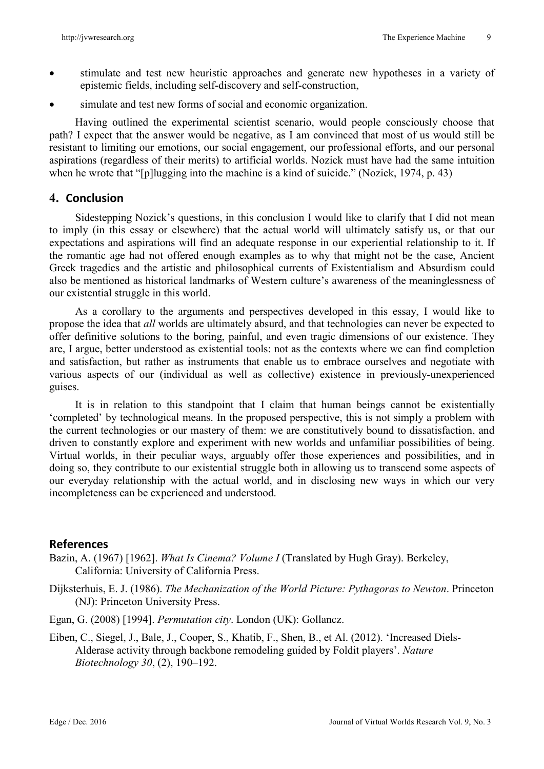- stimulate and test new heuristic approaches and generate new hypotheses in a variety of epistemic fields, including self-discovery and self-construction,
- simulate and test new forms of social and economic organization.

Having outlined the experimental scientist scenario, would people consciously choose that path? I expect that the answer would be negative, as I am convinced that most of us would still be resistant to limiting our emotions, our social engagement, our professional efforts, and our personal aspirations (regardless of their merits) to artificial worlds. Nozick must have had the same intuition when he wrote that "[p]lugging into the machine is a kind of suicide." (Nozick, 1974, p. 43)

### **4. Conclusion**

Sidestepping Nozick's questions, in this conclusion I would like to clarify that I did not mean to imply (in this essay or elsewhere) that the actual world will ultimately satisfy us, or that our expectations and aspirations will find an adequate response in our experiential relationship to it. If the romantic age had not offered enough examples as to why that might not be the case, Ancient Greek tragedies and the artistic and philosophical currents of Existentialism and Absurdism could also be mentioned as historical landmarks of Western culture's awareness of the meaninglessness of our existential struggle in this world.

As a corollary to the arguments and perspectives developed in this essay, I would like to propose the idea that *all* worlds are ultimately absurd, and that technologies can never be expected to offer definitive solutions to the boring, painful, and even tragic dimensions of our existence. They are, I argue, better understood as existential tools: not as the contexts where we can find completion and satisfaction, but rather as instruments that enable us to embrace ourselves and negotiate with various aspects of our (individual as well as collective) existence in previously-unexperienced guises.

It is in relation to this standpoint that I claim that human beings cannot be existentially 'completed' by technological means. In the proposed perspective, this is not simply a problem with the current technologies or our mastery of them: we are constitutively bound to dissatisfaction, and driven to constantly explore and experiment with new worlds and unfamiliar possibilities of being. Virtual worlds, in their peculiar ways, arguably offer those experiences and possibilities, and in doing so, they contribute to our existential struggle both in allowing us to transcend some aspects of our everyday relationship with the actual world, and in disclosing new ways in which our very incompleteness can be experienced and understood.

#### **References**

Bazin, A. (1967) [1962]. *What Is Cinema? Volume I* (Translated by Hugh Gray). Berkeley, California: University of California Press.

- Dijksterhuis, E. J. (1986). *The Mechanization of the World Picture: Pythagoras to Newton*. Princeton (NJ): Princeton University Press.
- Egan, G. (2008) [1994]. *Permutation city*. London (UK): Gollancz.
- Eiben, C., Siegel, J., Bale, J., Cooper, S., Khatib, F., Shen, B., et Al. (2012). 'Increased Diels-Alderase activity through backbone remodeling guided by Foldit players'. *Nature Biotechnology 30*, (2), 190–192.